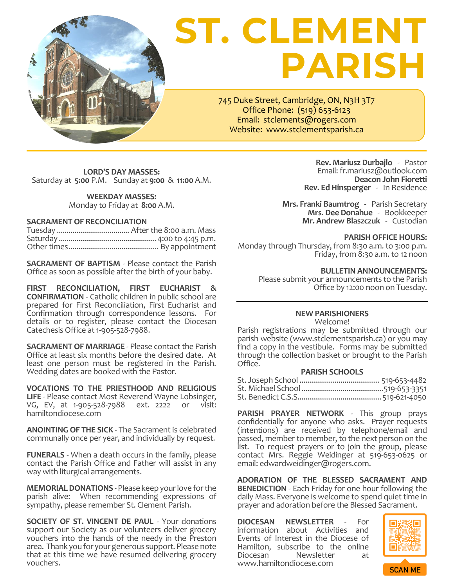

# **ST. CLEMENT PARISH**

745 Duke Street, Cambridge, ON, N3H 3T7 Office Phone: (519) 653-6123 Email: stclements@rogers.com Website: www.stclementsparish.ca

**LORD'S DAY MASSES:** Saturday at **5:00** P.M. Sunday at **9:00** & **11:00** A.M.

> **WEEKDAY MASSES:** Monday to Friday at **8:00** A.M.

## **SACRAMENT OF RECONCILIATION**

**SACRAMENT OF BAPTISM** - Please contact the Parish Office as soon as possible after the birth of your baby.

**FIRST RECONCILIATION, FIRST EUCHARIST & CONFIRMATION** - Catholic children in public school are prepared for First Reconciliation, First Eucharist and Confirmation through correspondence lessons. For details or to register, please contact the Diocesan Catechesis Office at 1-905-528-7988.

**SACRAMENT OF MARRIAGE** - Please contact the Parish Office at least six months before the desired date. At least one person must be registered in the Parish. Wedding dates are booked with the Pastor.

**VOCATIONS TO THE PRIESTHOOD AND RELIGIOUS**  LIFE - Please contact Most Reverend Wayne Lobsinger,<br>VG. EV. at 1-905-528-7988 ext. 2222 or visit: VG, EV, at 1-905-528-7988 ext. 2222 [hamiltondiocese.com](https://hamiltondiocese.com/vocations/)

**ANOINTING OF THE SICK** - The Sacrament is celebrated communally once per year, and individually by request.

**FUNERALS** - When a death occurs in the family, please contact the Parish Office and Father will assist in any way with liturgical arrangements.

**MEMORIAL DONATIONS** - Please keep your love for the parish alive: When recommending expressions of sympathy, please remember St. Clement Parish.

**SOCIETY OF ST. VINCENT DE PAUL** - Your donations support our Society as our volunteers deliver grocery vouchers into the hands of the needy in the Preston area. Thank you for your generous support. Please note that at this time we have resumed delivering grocery vouchers.

**Rev. Mariusz Durbajlo** -Pastor Email[: fr.mariusz@outlook.com](mailto:fr.mariusz@outlook.com) **Deacon John Fioretti Rev. Ed Hinsperger** - In Residence

**Mrs. Franki Baumtrog** - Parish Secretary **Mrs. Dee Donahue** - Bookkeeper **Mr. Andrew Blaszczuk** - Custodian

## **PARISH OFFICE HOURS:**

Monday through Thursday, from 8:30 a.m. to 3:00 p.m. Friday, from 8:30 a.m. to 12 noon

**BULLETIN ANNOUNCEMENTS:**

Please submit your announcements to the Parish Office by 12:00 noon on Tuesday.

# **NEW PARISHIONERS**

Welcome!

Parish registrations may be submitted through our parish website [\(www.stclementsparish.ca\)](http://www.stclementsparish.ca/) or you may find a copy in the vestibule. Forms may be submitted through the collection basket or brought to the Parish Office.

# **PARISH SCHOOLS**

**PARISH PRAYER NETWORK** - This group prays confidentially for anyone who asks. Prayer requests (intentions) are received by telephone/email and passed, member to member, to the next person on the list. To request prayers or to join the group, please contact Mrs. Reggie Weidinger at 519-653-0625 or email: edwardweidinger@rogers.com.

**ADORATION OF THE BLESSED SACRAMENT AND BENEDICTION** - Each Friday for one hour following the daily Mass. Everyone is welcome to spend quiet time in prayer and adoration before the Blessed Sacrament.

**DIOCESAN NEWSLETTER** - For information about Activities and Events of Interest in the Diocese of Hamilton, subscribe to the online<br>Diocesan Mewsletter at Newsletter www.hamiltondiocese.com

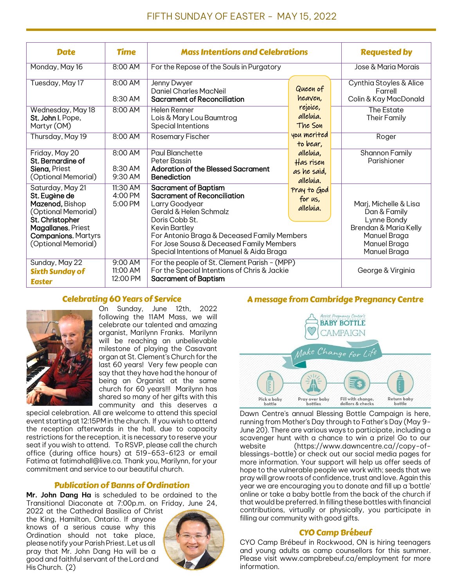| <b>Date</b>                                                                                                                                                               | <b>Time</b>                     | <b>Mass Intentions and Celebrations</b>                                                                                                                                                                                                                                                                                         |                                                                                     | <b>Requested by</b>                                                                                                           |
|---------------------------------------------------------------------------------------------------------------------------------------------------------------------------|---------------------------------|---------------------------------------------------------------------------------------------------------------------------------------------------------------------------------------------------------------------------------------------------------------------------------------------------------------------------------|-------------------------------------------------------------------------------------|-------------------------------------------------------------------------------------------------------------------------------|
| Monday, May 16                                                                                                                                                            | 8:00 AM                         | For the Repose of the Souls in Purgatory                                                                                                                                                                                                                                                                                        |                                                                                     | Jose & Maria Morais                                                                                                           |
| Tuesday, May 17                                                                                                                                                           | 8:00 AM<br>8:30 AM              | Jenny Dwyer<br><b>Daniel Charles MacNeil</b><br>Sacrament of Reconciliation                                                                                                                                                                                                                                                     | Queen of<br>heaven,<br>rejoice,<br>alleluia.<br>The Son                             | Cynthia Stoyles & Alice<br>Farrell<br>Colin & Kay MacDonald                                                                   |
| Wednesday, May 18<br>St. John I, Pope,<br>Martyr (OM)                                                                                                                     | 8:00 AM                         | Helen Renner<br>Lois & Mary Lou Baumtrog<br>Special Intentions                                                                                                                                                                                                                                                                  |                                                                                     | The Estate<br>Their Family                                                                                                    |
| Thursday, May 19                                                                                                                                                          | 8:00 AM                         | Rosemary Fischer                                                                                                                                                                                                                                                                                                                | you merited<br>to bear.                                                             | Roger                                                                                                                         |
| Friday, May 20<br>St. Bernardine of<br>Siena, Priest<br>(Optional Memorial)                                                                                               | 8:00 AM<br>8:30 AM<br>9:30 AM   | Paul Blanchette<br>Peter Bassin<br><b>Adoration of the Blessed Sacrament</b><br><b>Benediction</b>                                                                                                                                                                                                                              | Shannon Family<br>alleluia,<br>Parishioner<br>Has risen<br>as he said.<br>alleluia. |                                                                                                                               |
| Saturday, May 21<br>St. Eugène de<br>Mazenod, Bishop<br>(Optional Memorial)<br>St. Christopher<br>Magallanes, Priest<br><b>Companions, Martyrs</b><br>(Optional Memorial) | 11:30 AM<br>4:00 PM<br>5:00 PM  | <b>Sacrament of Baptism</b><br>Pray to God<br><b>Sacrament of Reconciliation</b><br>for us,<br>Larry Goodyear<br>alleluia.<br>Gerald & Helen Schmalz<br>Doris Cobb St.<br>Kevin Bartley<br>For Antonio Braga & Deceased Family Members<br>For Jose Sousa & Deceased Family Members<br>Special Intentions of Manuel & Aida Braga |                                                                                     | Marj, Michelle & Lisa<br>Dan & Family<br>Lynne Bondy<br>Brendan & Maria Kelly<br>Manuel Braga<br>Manuel Braga<br>Manuel Braga |
| Sunday, May 22<br><b>Sixth Sunday of</b><br><b>Easter</b>                                                                                                                 | 9:00 AM<br>11:00 AM<br>12:00 PM | For the people of St. Clement Parish - (MPP)<br>For the Special Intentions of Chris & Jackie<br><b>Sacrament of Baptism</b>                                                                                                                                                                                                     |                                                                                     | George & Virginia                                                                                                             |

# Celebrating 60 Years of Service



On Sunday, June 12th, 2022 following the 11AM Mass, we will celebrate our talented and amazing organist, Marilynn Franks. Marilynn will be reaching an unbelievable milestone of playing the Casavant organ at St. Clement's Church for the last 60 years! Very few people can say that they have had the honour of being an Organist at the same church for 60 years!!! Marilynn has shared so many of her gifts with this community and this deserves a

special celebration. All are welcome to attend this special event starting at 12:15PM in the church. If you wish to attend the reception afterwards in the hall, due to capacity restrictions for the reception, it is necessary to reserve your seat if you wish to attend. To RSVP, please call the church office (during office hours) at 519-653-6123 or email Fatima at fatimahall@live.ca. Thank you, Marilynn, for your commitment and service to our beautiful church.

# Publication of Banns of Ordination

**Mr. John Dang Ha** is scheduled to be ordained to the Transitional Diaconate at 7:00p.m. on Friday, June 24,

2022 at the Cathedral Basilica of Christ the King, Hamilton, Ontario. If anyone knows of a serious cause why this Ordination should not take place, please notify your Parish Priest. Let us all pray that Mr. John Dang Ha will be a good and faithful servant of the Lord and His Church. (2)



# A message from Cambridge Pregnancy Centre



Dawn Centre's annual Blessing Bottle Campaign is here, running from Mother's Day through to Father's Day (May 9- June 20). There are various ways to participate, including a scavenger hunt with a chance to win a prize! Go to our website (https://www.dawncentre.ca//copy-ofblessings-bottle) or check out our social media pages for more information. Your support will help us offer seeds of hope to the vulnerable people we work with; seeds that we pray will grow roots of confidence, trust and love. Again this year we are encouraging you to donate and fill up a 'bottle' online or take a baby bottle from the back of the church if that would be preferred. In filling these bottles with financial contributions, virtually or physically, you participate in filling our community with good gifts.

# CYO Camp Brébeuf

CYO Camp Brébeuf in Rockwood, ON is hiring teenagers and young adults as camp counsellors for this summer. Please visit www.campbrebeuf.ca/employment for more information.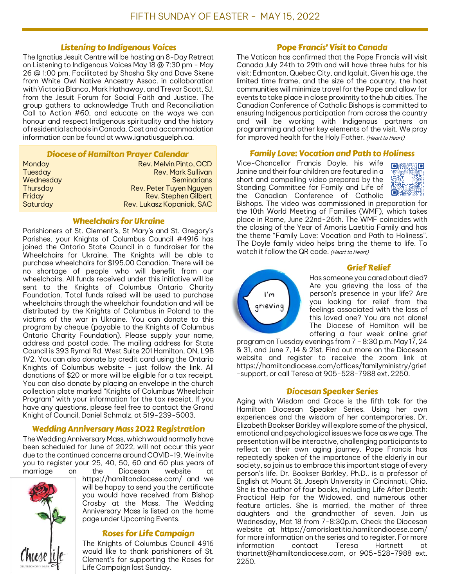## Listening to Indigenous Voices

The Ignatius Jesuit Centre will be hosting an 8-Day Retreat on Listening to Indigenous Voices May 18 @ 7:30 pm - May 26 @ 1:00 pm. Facilitated by Shasha Sky and Dave Skene from White Owl Native Ancestry Assoc. in collaboration with Victoria Blanco, Mark Hathaway, and Trevor Scott, SJ, from the Jesuit Forum for Social Faith and Justice. The group gathers to acknowledge Truth and Reconciliation Call to Action #60, and educate on the ways we can honour and respect Indigenous spirituality and the history of residential schools in Canada. Cost and accommodation information can be found at www.ignatiusguelph.ca.

#### Diocese of Hamilton Prayer Calendar

| Monday         | Rev. Melvin Pinto, OCD    |
|----------------|---------------------------|
| <b>Tuesday</b> | <b>Rev. Mark Sullivan</b> |
| Wednesday      | <b>Seminarians</b>        |
| Thursday       | Rev. Peter Tuyen Nguyen   |
| Friday         | Rev. Stephen Gilbert      |
| Saturday       | Rev. Lukasz Kopaniak, SAC |

#### Wheelchairs for Ukraine

Parishioners of St. Clement's, St Mary`s and St. Gregory`s Parishes, your Knights of Columbus Council #4916 has joined the Ontario State Council in a fundraiser for the Wheelchairs for Ukraine. The Knights will be able to purchase wheelchairs for \$195.00 Canadian. There will be no shortage of people who will benefit from our wheelchairs. All funds received under this initiative will be sent to the Knights of Columbus Ontario Charity Foundation. Total funds raised will be used to purchase wheelchairs through the wheelchair foundation and will be distributed by the Knights of Columbus in Poland to the victims of the war in Ukraine. You can donate to this program by cheque (payable to the Knights of Columbus Ontario Charity Foundation). Please supply your name, address and postal code. The mailing address for State Council is 393 Rymal Rd. West Suite 201 Hamilton, ON, L9B 1V2. You can also donate by credit card using the Ontario Knights of Columbus website - just follow the link. All donations of \$20 or more will be eligible for a tax receipt. You can also donate by placing an envelope in the church collection plate marked "Knights of Columbus Wheelchair Program" with your information for the tax receipt. If you have any questions, please feel free to contact the Grand Knight of Council, Daniel Schmalz, at 519-239-5003.

# Wedding Anniversary Mass 2022 Registration

The Wedding Anniversary Mass, which would normally have been scheduled for June of 2022, will not occur this year due to the continued concerns around COVID-19. We invite you to register your 25, 40, 50, 60 and 60 plus years of marriage on the Diocesan website at



https://hamiltondiocese.com/ and we will be happy to send you the certificate you would have received from Bishop Crosby at the Mass. The Wedding Anniversary Mass is listed on the home page under Upcoming Events.

# Roses for Life Campaign

The Knights of Columbus Council 4916 would like to thank parishioners of St. Clement's for supporting the Roses for Life Campaign last Sunday.

### Pope Francis' Visit to Canada

The Vatican has confirmed that the Pope Francis will visit Canada July 24th to 29th and will have three hubs for his visit: Edmonton, Quebec City, and Iqaluit. Given his age, the limited time frame, and the size of the country, the host communities will minimize travel for the Pope and allow for events to take place in close proximity to the hub cities. The Canadian Conference of Catholic Bishops is committed to ensuring Indigenous participation from across the country and will be working with Indigenous partners on programming and other key elements of the visit. We pray for improved health for the Holy Father. (Heart to Heart)

## Family Love: Vocation and Path to Holiness

Vice-Chancellor Francis Doyle, his wife Janine and their four children are featured in a short and compelling video prepared by the Standing Committee for Family and Life of the Canadian Conference of Catholic



Bishops. The video was commissioned in preparation for the 10th World Meeting of Families (WMF), which takes place in Rome, June 22nd-26th. The WMF coincides with the closing of the Year of Amoris Laetitia Family and has the theme "Family Love: Vocation and Path to Holiness". The Doyle family video helps bring the theme to life. To watch it follow the QR code. (Heart to Heart)



# Grief Relief

Has someone you cared about died? Are you grieving the loss of the person's presence in your life? Are you looking for relief from the feelings associated with the loss of this loved one? You are not alone! The Diocese of Hamilton will be offering a four week online grief

program on Tuesday evenings from 7 - 8:30 p.m. May 17, 24 & 31, and June 7, 14 & 21st. Find out more on the Diocesan website and register to receive the zoom link at https://hamiltondiocese.com/offices/familyministry/grief -support, or call Teresa at 905-528-7988 ext. 2250.

# Diocesan Speaker Series

Aging with Wisdom and Grace is the fifth talk for the Hamilton Diocesan Speaker Series. Using her own experiences and the wisdom of her contemporaries, Dr. Elizabeth Bookser Barkley will explore some of the physical, emotional and psychological issues we face as we age. The presentation will be interactive, challenging participants to reflect on their own aging journey. Pope Francis has repeatedly spoken of the importance of the elderly in our society, so join us to embrace this important stage of every person's life. Dr. Bookser Barkley, Ph.D., is a professor of English at Mount St. Joseph University in Cincinnati, Ohio. She is the author of four books, including Life After Death: Practical Help for the Widowed, and numerous other feature articles. She is married, the mother of three daughters and the grandmother of seven. Join us Wednesday, Mat 18 from 7-8:30p.m. Check the Diocesan website at https://amorislaetitia.hamiltondiocese.com/ for more information on the series and to register. For more information contact Teresa Hartnett at thartnett@hamiltondiocese.com, or 905-528-7988 ext. 2250.